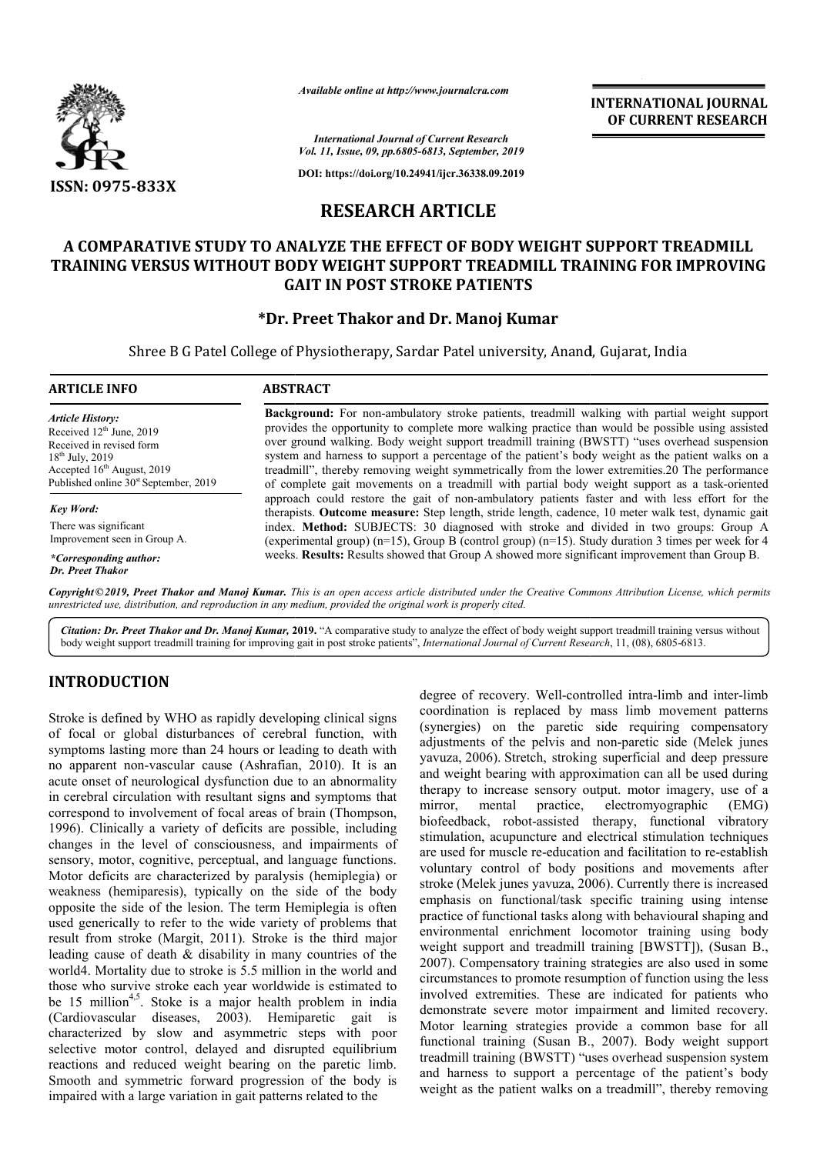

*Available online at http://www.journalcra.com*

**INTERNATIONAL JOURNAL OF CURRENT RESEARCH**

*International Journal of Current Research Vol. 11, Issue, 09, pp.6805-6813, September, 2019*

**DOI: https://doi.org/10.24941/ijcr.36338.09.2019**

# **RESEARCH ARTICLE**

# **A COMPARATIVE STUDY TO ANALYZE THE EFFECT OF BODY WEIGHT SUPPORT TREADMILL**  A COMPARATIVE STUDY TO ANALYZE THE EFFECT OF BODY WEIGHT SUPPORT TREADMILL<br>TRAINING VERSUS WITHOUT BODY WEIGHT SUPPORT TREADMILL TRAINING FOR IMPROVING **GAIT IN POST STROKE PATIENTS**

# **\*Dr. Preet Thakor Dr. and Dr. Manoj Kumar**

Shree B G Patel College of Physiotherapy, Sardar Patel university, Anand, Gujarat, India

#### **ARTICLE INFO ABSTRACT Background:** For non-ambulatory stroke patients, treadmill walking with partial weight support provides the opportunity to complete more walking practice than would be possible using assisted *Article History:*

Received 12<sup>th</sup> June, 2019 Received in revised form 18<sup>th</sup> July, 2019 Accepted 16<sup>th</sup> August, 2019 Published online  $30<sup>st</sup>$  September, 2019

*Key Word:* There was significant Improvement seen in Group A.

*\*Corresponding author: Dr. Preet Thakor*

over ground walking. Body weight support treadmill training (BWSTT) "uses overhead suspension system and harness to support a percentage of the patient's body weight as the patient walks on a treadmill", thereby removing weight symmetrically from the lower extremities.20 The performance of complete gait movements on a treadmill with partial body weight support as a task approach could restore the gait of non-ambulatory patients faster and with less effort for the therapists. **Outcome measure:** Step length, stride length, cadence, 10 meter walk test, dynamic gait index. **Method:** SUBJECTS: 30 diagnosed with stroke and divided in two groups: Group A (experimental group) (n=15), Group B (control group) (n=15). Study duration 3 times per week for 4 weeks. **Results:** Results showed that Group A showed more significant improvement than **and:** For non-ambulatory stroke patients, treadmill walking with partial weight support<br>the opportunity to complete more walking practice than would be possible using assisted<br>ind walking. Body weight support treadmill tr and harness to support a percentage of the patient's body weight as the patient walks on a ll", thereby removing weight symmetrically from the lower extremities.20 The performance plete gait movements on a treadmill with p d restore the gait of non-ambulatory patients faster and with less effort for the **tcome measure:** Step length, stride length, cadence, 10 meter walk test, dynamic gait **d:** SUBJECTS: 30 diagnosed with stroke and divided i

Copyright©2019, Preet Thakor and Manoj Kumar. This is an open access article distributed under the Creative Commons Attribution License, which permits *unrestricted use, distribution, and reproduction in any medium, provided the original work is properly cited.*

Citation: Dr. Preet Thakor and Dr. Manoj Kumar, 2019. "A comparative study to analyze the effect of body weight support treadmill training versus without body weight support treadmill training for improving gait in post stroke patients", *International Journal of Current Research*, 11, (08), 6805-6813.

# **INTRODUCTION**

Stroke is defined by WHO as rapidly developing clinical signs of focal or global disturbances of cerebral function, with symptoms lasting more than 24 hours or leading to death with no apparent non-vascular cause (Ashrafian, 2010). It is an acute onset of neurological dysfunction due to an abnormality in cerebral circulation with resultant signs and symptoms that correspond to involvement of focal areas of brain (Thompson, 1996). Clinically a variety of deficits are possible, including changes in the level of consciousness, and impairments of sensory, motor, cognitive, perceptual, and language functions. Motor deficits are characterized by paralysis (hemiplegia) or weakness (hemiparesis), typically on the side of the body opposite the side of the lesion. The term Hemiplegia is often used generically to refer to the wide variety of problems that result from stroke (Margit, 2011). Stroke is the third major leading cause of death & disability in many countries of the world4. Mortality due to stroke is 5.5 million in the world and those who survive stroke each year worldwide is estimated to be 15 million<sup>4,5</sup>. Stoke is a major health problem in india (Cardiovascular diseases, 2003). Hemiparetic gait is characterized by slow and asymmetric steps with poor selective motor control, delayed and disrupted equilibrium reactions and reduced weight bearing on the paretic limb. Smooth and symmetric forward progression of the body is impaired with a large variation in gait patterns related to the  $\nu$ , motor, cognitive, perceptual, and language functions.<br>deficits are characterized by paralysis (hemiplegia) or<br>ess (hemiparesis), typically on the side of the body<br>te the side of the lesion. The term Hemiplegia is of degree of recovery. Well-controlled intrabal bis degree of recovery. Well-controlled intrabal bis phase limit of the period by must are prover than 24 hours or leading to death with all instimuments of the pelvis and non-p

coordination is replaced by mass limb movement patterns (synergies) on the paretic side requiring compensatory (synergies) on the paretic side requiring compensatory adjustments of the pelvis and non-paretic side (Melek junes yavuza, 2006). Stretch, stroking superficial and deep pressure and weight bearing with approximation can all be used during therapy to increase sensory output. motor imagery, use of a mirror, mental practice, electromyographic (EMG) biofeedback, robot-assisted therapy, functional vibratory stimulation, acupuncture and electrical stimulation techniques are used for muscle re-education and facilitation to re voluntary control of body positions and movements after voluntary control of body positions and movements after stroke (Melek junes yavuza, 2006). Currently there is increased emphasis on functional/task specific training using intense practice of functional tasks along with behavioural shaping and environmental enrichment locomotor training using body emphasis on functional/task specific training using intense<br>practice of functional tasks along with behavioural shaping and<br>environmental enrichment locomotor training using body<br>weight support and treadmill training [BWST 2007). Compensatory training strategies are also used in some 2007). Compensatory training strategies are also used in some circumstances to promote resumption of function using the less involved extremities. These are indicated for patients who demonstrate severe motor impairment and limited recovery. Motor learning strategies provide a common base for all involved extremities. These are indicated for patients who demonstrate severe motor impairment and limited recovery.<br>Motor learning strategies provide a common base for all functional training (Susan B., 2007). Body weight treadmill training (BWSTT) "uses overhead suspension system and harness to support a percentage of the patient's body weight as the patient walks on a treadmill", thereby removing degree of recovery. Well-controlled intra-limb and inter-limb therapy to increase sensory output. motor imagery, use of a mirror, mental practice, electromyographic (EMG) biofeedback, robot-assisted therapy, functional vibratory stimulation, acupuncture and electrical stimulation to INTERNATIONAL JOURNAL<br>
INTERNATIONAL OP CURRENT RESEARCH<br>
CONDERNATIONAL OF CURRENT RESEARCH<br>
FRODY WEIGHT SUPPORT TREADMILL<br>
FRODY WEIGHT SUPPORT TREADMILL<br>
TREADMILL TRAINING FOR IMPROVING<br>
PEDDY WEIGHT SUPPORT TREADMILL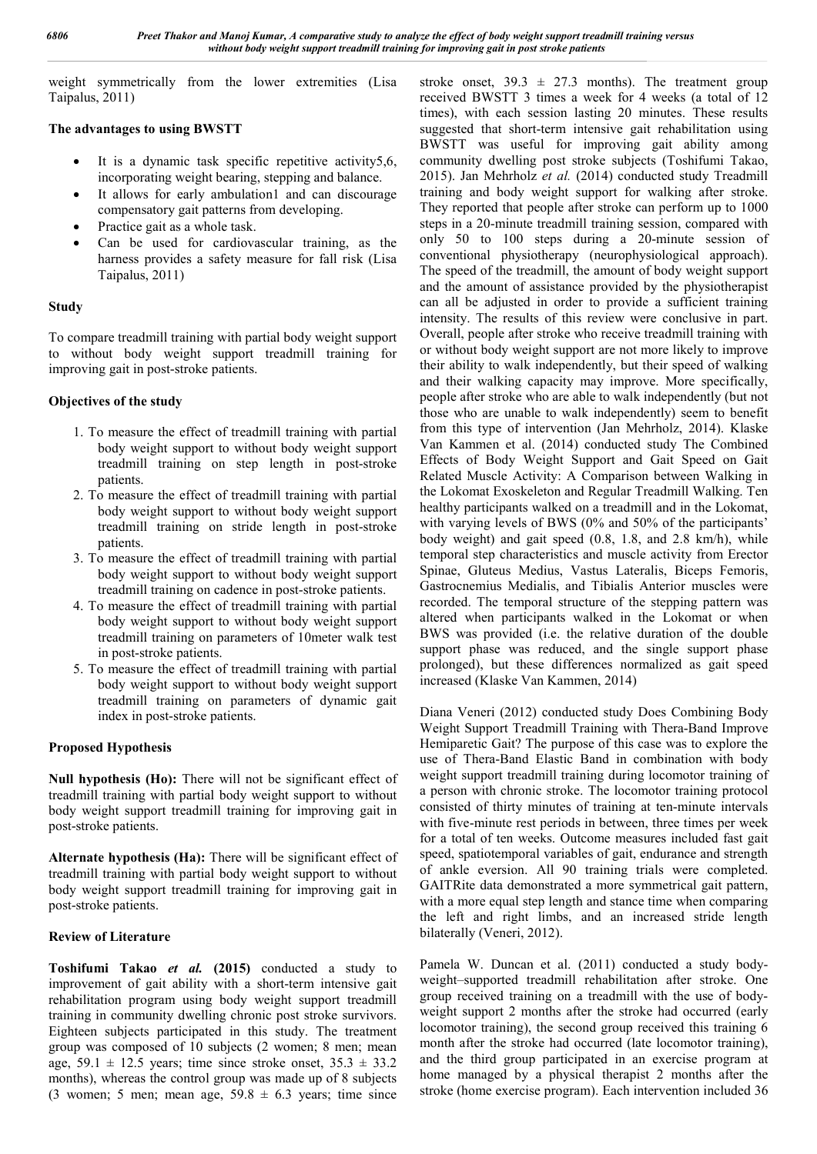weight symmetrically from the lower extremities (Lisa Taipalus, 2011)

#### **The advantages to using BWSTT**

- It is a dynamic task specific repetitive activity5,6, incorporating weight bearing, stepping and balance.
- It allows for early ambulation1 and can discourage compensatory gait patterns from developing.
- Practice gait as a whole task.
- Can be used for cardiovascular training, as the harness provides a safety measure for fall risk (Lisa Taipalus, 2011)

### **Study**

To compare treadmill training with partial body weight support to without body weight support treadmill training for improving gait in post-stroke patients.

# **Objectives of the study**

- 1. To measure the effect of treadmill training with partial body weight support to without body weight support treadmill training on step length in post-stroke patients.
- 2. To measure the effect of treadmill training with partial body weight support to without body weight support treadmill training on stride length in post-stroke patients.
- 3. To measure the effect of treadmill training with partial body weight support to without body weight support treadmill training on cadence in post-stroke patients.
- 4. To measure the effect of treadmill training with partial body weight support to without body weight support treadmill training on parameters of 10meter walk test in post-stroke patients.
- 5. To measure the effect of treadmill training with partial body weight support to without body weight support treadmill training on parameters of dynamic gait index in post-stroke patients.

# **Proposed Hypothesis**

**Null hypothesis (Ho):** There will not be significant effect of treadmill training with partial body weight support to without body weight support treadmill training for improving gait in post-stroke patients.

**Alternate hypothesis (Ha):** There will be significant effect of treadmill training with partial body weight support to without body weight support treadmill training for improving gait in post-stroke patients.

# **Review of Literature**

**Toshifumi Takao** *et al.* **(2015)** conducted a study to improvement of gait ability with a short-term intensive gait rehabilitation program using body weight support treadmill training in community dwelling chronic post stroke survivors. Eighteen subjects participated in this study. The treatment group was composed of 10 subjects (2 women; 8 men; mean age,  $59.1 \pm 12.5$  years; time since stroke onset,  $35.3 \pm 33.2$ months), whereas the control group was made up of 8 subjects (3 women; 5 men; mean age,  $59.8 \pm 6.3$  years; time since

stroke onset,  $39.3 \pm 27.3$  months). The treatment group received BWSTT 3 times a week for 4 weeks (a total of 12 times), with each session lasting 20 minutes. These results suggested that short-term intensive gait rehabilitation using BWSTT was useful for improving gait ability among community dwelling post stroke subjects (Toshifumi Takao, 2015). Jan Mehrholz *et al.* (2014) conducted study Treadmill training and body weight support for walking after stroke. They reported that people after stroke can perform up to 1000 steps in a 20-minute treadmill training session, compared with only 50 to 100 steps during a 20-minute session of conventional physiotherapy (neurophysiological approach). The speed of the treadmill, the amount of body weight support and the amount of assistance provided by the physiotherapist can all be adjusted in order to provide a sufficient training intensity. The results of this review were conclusive in part. Overall, people after stroke who receive treadmill training with or without body weight support are not more likely to improve their ability to walk independently, but their speed of walking and their walking capacity may improve. More specifically, people after stroke who are able to walk independently (but not those who are unable to walk independently) seem to benefit from this type of intervention (Jan Mehrholz, 2014). Klaske Van Kammen et al. (2014) conducted study The Combined Effects of Body Weight Support and Gait Speed on Gait Related Muscle Activity: A Comparison between Walking in the Lokomat Exoskeleton and Regular Treadmill Walking. Ten healthy participants walked on a treadmill and in the Lokomat, with varying levels of BWS (0% and 50% of the participants' body weight) and gait speed (0.8, 1.8, and 2.8 km/h), while temporal step characteristics and muscle activity from Erector Spinae, Gluteus Medius, Vastus Lateralis, Biceps Femoris, Gastrocnemius Medialis, and Tibialis Anterior muscles were recorded. The temporal structure of the stepping pattern was altered when participants walked in the Lokomat or when BWS was provided (i.e. the relative duration of the double support phase was reduced, and the single support phase prolonged), but these differences normalized as gait speed increased (Klaske Van Kammen, 2014)

Diana Veneri (2012) conducted study Does Combining Body Weight Support Treadmill Training with Thera-Band Improve Hemiparetic Gait? The purpose of this case was to explore the use of Thera-Band Elastic Band in combination with body weight support treadmill training during locomotor training of a person with chronic stroke. The locomotor training protocol consisted of thirty minutes of training at ten-minute intervals with five-minute rest periods in between, three times per week for a total of ten weeks. Outcome measures included fast gait speed, spatiotemporal variables of gait, endurance and strength of ankle eversion. All 90 training trials were completed. GAITRite data demonstrated a more symmetrical gait pattern, with a more equal step length and stance time when comparing the left and right limbs, and an increased stride length bilaterally (Veneri, 2012).

Pamela W. Duncan et al. (2011) conducted a study bodyweight–supported treadmill rehabilitation after stroke. One group received training on a treadmill with the use of bodyweight support 2 months after the stroke had occurred (early locomotor training), the second group received this training 6 month after the stroke had occurred (late locomotor training), and the third group participated in an exercise program at home managed by a physical therapist 2 months after the stroke (home exercise program). Each intervention included 36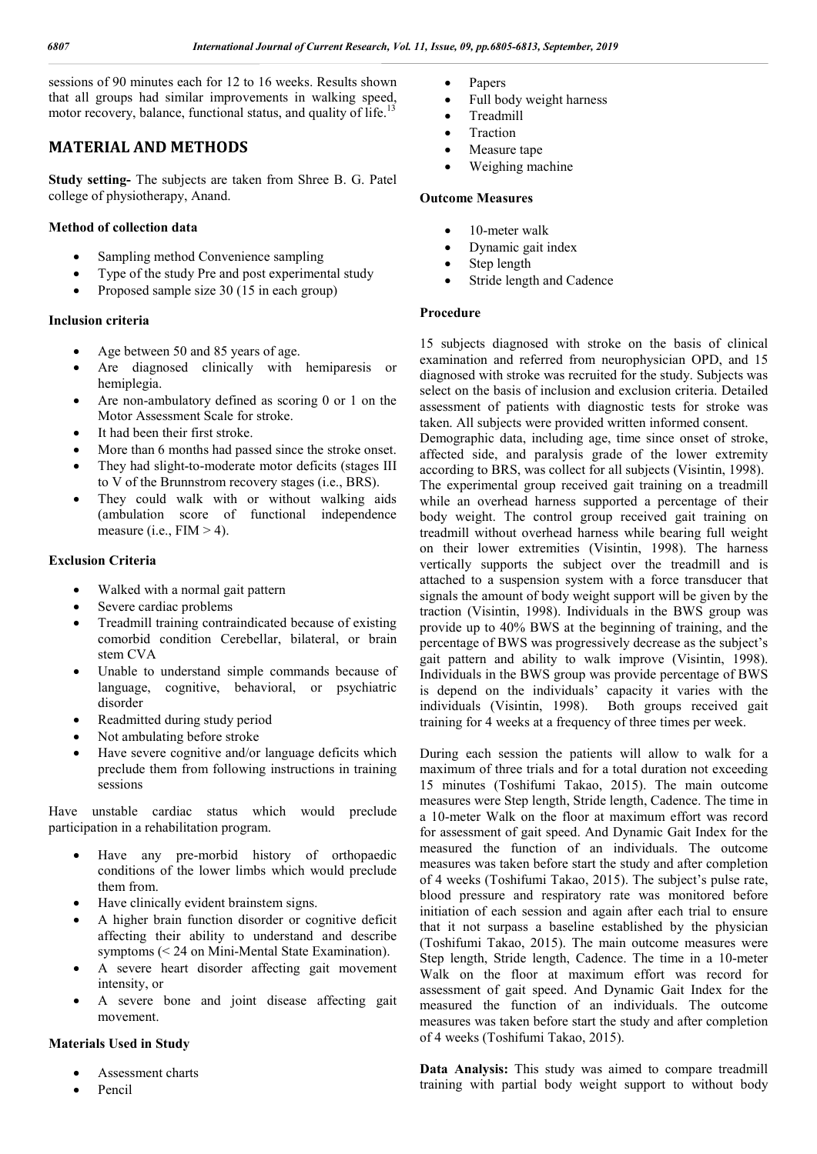sessions of 90 minutes each for 12 to 16 weeks. Results shown that all groups had similar improvements in walking speed, motor recovery, balance, functional status, and quality of life.<sup>13</sup>

# **MATERIAL AND METHODS**

**Study setting-** The subjects are taken from Shree B. G. Patel college of physiotherapy, Anand.

# **Method of collection data**

- Sampling method Convenience sampling
- Type of the study Pre and post experimental study
- Proposed sample size 30 (15 in each group)

#### **Inclusion criteria**

- Age between 50 and 85 years of age.
- Are diagnosed clinically with hemiparesis or hemiplegia.
- Are non-ambulatory defined as scoring 0 or 1 on the Motor Assessment Scale for stroke.
- It had been their first stroke.
- More than 6 months had passed since the stroke onset.
- They had slight-to-moderate motor deficits (stages III to V of the Brunnstrom recovery stages (i.e., BRS).
- They could walk with or without walking aids (ambulation score of functional independence measure (i.e.,  $FIM > 4$ ).

### **Exclusion Criteria**

- Walked with a normal gait pattern
- Severe cardiac problems
- Treadmill training contraindicated because of existing comorbid condition Cerebellar, bilateral, or brain stem CVA
- Unable to understand simple commands because of language, cognitive, behavioral, or psychiatric disorder
- Readmitted during study period
- Not ambulating before stroke
- Have severe cognitive and/or language deficits which preclude them from following instructions in training sessions

Have unstable cardiac status which would preclude participation in a rehabilitation program.

- Have any pre-morbid history of orthopaedic conditions of the lower limbs which would preclude them from.
- Have clinically evident brainstem signs.
- A higher brain function disorder or cognitive deficit affecting their ability to understand and describe symptoms (< 24 on Mini-Mental State Examination).
- A severe heart disorder affecting gait movement intensity, or
- A severe bone and joint disease affecting gait movement.

# **Materials Used in Study**

- Assessment charts
- Pencil
- Papers
- Full body weight harness
- Treadmill
- Traction
- Measure tape
- Weighing machine

#### **Outcome Measures**

- 10-meter walk
- Dynamic gait index
- Step length
- Stride length and Cadence

### **Procedure**

15 subjects diagnosed with stroke on the basis of clinical examination and referred from neurophysician OPD, and 15 diagnosed with stroke was recruited for the study. Subjects was select on the basis of inclusion and exclusion criteria. Detailed assessment of patients with diagnostic tests for stroke was taken. All subjects were provided written informed consent.

Demographic data, including age, time since onset of stroke, affected side, and paralysis grade of the lower extremity according to BRS, was collect for all subjects (Visintin, 1998). The experimental group received gait training on a treadmill while an overhead harness supported a percentage of their body weight. The control group received gait training on treadmill without overhead harness while bearing full weight on their lower extremities (Visintin, 1998). The harness vertically supports the subject over the treadmill and is attached to a suspension system with a force transducer that signals the amount of body weight support will be given by the traction (Visintin, 1998). Individuals in the BWS group was provide up to 40% BWS at the beginning of training, and the percentage of BWS was progressively decrease as the subject's gait pattern and ability to walk improve (Visintin, 1998). Individuals in the BWS group was provide percentage of BWS is depend on the individuals' capacity it varies with the individuals (Visintin, 1998). Both groups received gait training for 4 weeks at a frequency of three times per week.

During each session the patients will allow to walk for a maximum of three trials and for a total duration not exceeding 15 minutes (Toshifumi Takao, 2015). The main outcome measures were Step length, Stride length, Cadence. The time in a 10-meter Walk on the floor at maximum effort was record for assessment of gait speed. And Dynamic Gait Index for the measured the function of an individuals. The outcome measures was taken before start the study and after completion of 4 weeks (Toshifumi Takao, 2015). The subject's pulse rate, blood pressure and respiratory rate was monitored before initiation of each session and again after each trial to ensure that it not surpass a baseline established by the physician (Toshifumi Takao, 2015). The main outcome measures were Step length, Stride length, Cadence. The time in a 10-meter Walk on the floor at maximum effort was record for assessment of gait speed. And Dynamic Gait Index for the measured the function of an individuals. The outcome measures was taken before start the study and after completion of 4 weeks (Toshifumi Takao, 2015).

**Data Analysis:** This study was aimed to compare treadmill training with partial body weight support to without body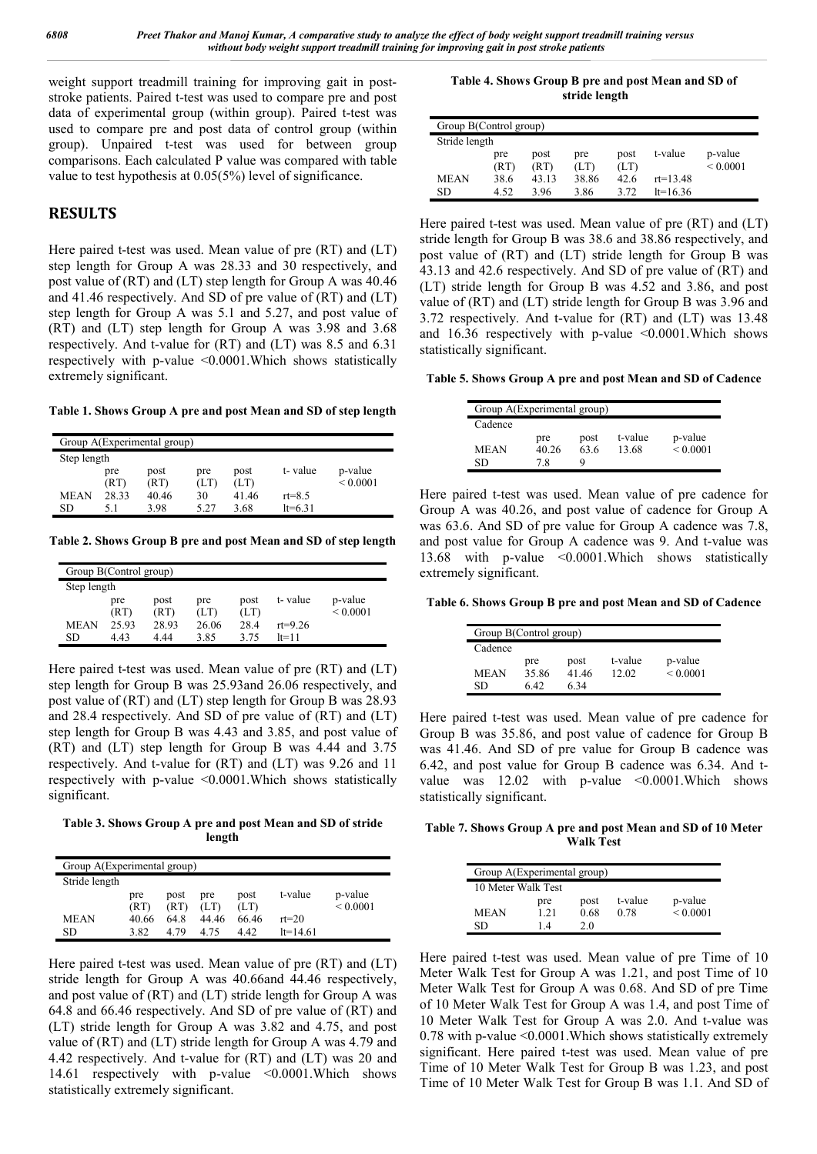weight support treadmill training for improving gait in poststroke patients. Paired t-test was used to compare pre and post data of experimental group (within group). Paired t-test was used to compare pre and post data of control group (within group). Unpaired t-test was used for between group comparisons. Each calculated P value was compared with table value to test hypothesis at 0.05(5%) level of significance.

# **RESULTS**

Here paired t-test was used. Mean value of pre (RT) and (LT) step length for Group A was 28.33 and 30 respectively, and post value of (RT) and (LT) step length for Group A was 40.46 and 41.46 respectively. And SD of pre value of (RT) and (LT) step length for Group A was 5.1 and 5.27, and post value of (RT) and (LT) step length for Group A was 3.98 and 3.68 respectively. And t-value for (RT) and (LT) was 8.5 and 6.31 respectively with p-value <0.0001.Which shows statistically extremely significant.

**Table 1. Shows Group A pre and post Mean and SD of step length**

| Group A(Experimental group) |       |       |      |       |            |               |  |  |  |  |
|-----------------------------|-------|-------|------|-------|------------|---------------|--|--|--|--|
| Step length                 |       |       |      |       |            |               |  |  |  |  |
|                             | pre   | post  | pre  | post  | t-value    | p-value       |  |  |  |  |
|                             | (RT)  | (RT)  | (LT) | (LT)  |            | ${}_{0.0001}$ |  |  |  |  |
| <b>MEAN</b>                 | 28.33 | 40.46 | 30   | 41.46 | $rt = 8.5$ |               |  |  |  |  |
| SD                          |       | 3.98  | 5.27 | 3.68  | $1t=6.31$  |               |  |  |  |  |

**Table 2. Shows Group B pre and post Mean and SD of step length**

|             | Group B(Control group) |       |       |      |             |               |  |  |  |  |
|-------------|------------------------|-------|-------|------|-------------|---------------|--|--|--|--|
| Step length |                        |       |       |      |             |               |  |  |  |  |
|             | pre                    | post  | pre   | post | t-value     | p-value       |  |  |  |  |
|             | (RT)                   | (RT)  | (LT)  | (LT) |             | ${}_{0.0001}$ |  |  |  |  |
| <b>MEAN</b> | 25.93                  | 28.93 | 26.06 | 28.4 | $rt = 9.26$ |               |  |  |  |  |
| SD          | 443                    | 4 44  | 3.85  | 3.75 | $1 = 11$    |               |  |  |  |  |

Here paired t-test was used. Mean value of pre (RT) and (LT) step length for Group B was 25.93and 26.06 respectively, and post value of (RT) and (LT) step length for Group B was 28.93 and 28.4 respectively. And SD of pre value of (RT) and (LT) step length for Group B was 4.43 and 3.85, and post value of (RT) and (LT) step length for Group B was 4.44 and 3.75 respectively. And t-value for (RT) and (LT) was 9.26 and 11 respectively with p-value <0.0001.Which shows statistically significant.

**Table 3. Shows Group A pre and post Mean and SD of stride length**

| Group A(Experimental group) |       |      |       |       |            |               |
|-----------------------------|-------|------|-------|-------|------------|---------------|
| Stride length               |       |      |       |       |            |               |
|                             | pre   | post | pre   | post  | t-value    | p-value       |
|                             | (RT)  | (RT) | (LT)  | (LT)  |            | ${}_{0.0001}$ |
| <b>MEAN</b>                 | 40.66 | 64 8 | 44.46 | 66.46 | $rt = 20$  |               |
| SD                          | 3.82  | 4.79 | 4.75  | 442   | $lt=14.61$ |               |

Here paired t-test was used. Mean value of pre (RT) and (LT) stride length for Group A was 40.66and 44.46 respectively, and post value of (RT) and (LT) stride length for Group A was 64.8 and 66.46 respectively. And SD of pre value of (RT) and (LT) stride length for Group A was 3.82 and 4.75, and post value of (RT) and (LT) stride length for Group A was 4.79 and 4.42 respectively. And t-value for (RT) and (LT) was 20 and 14.61 respectively with p-value <0.0001.Which shows statistically extremely significant.

**Table 4. Shows Group B pre and post Mean and SD of stride length**

| Group B(Control group) |             |              |             |              |              |                          |
|------------------------|-------------|--------------|-------------|--------------|--------------|--------------------------|
| Stride length          |             |              |             |              |              |                          |
|                        | pre<br>(RT) | post<br>(RT) | pre<br>(LT) | post<br>(LT) | t-value      | p-value<br>${}_{0.0001}$ |
| <b>MEAN</b>            | 38.6        | 43.13        | 38.86       | 42.6         | $rt = 13.48$ |                          |
| SD                     | 4.52        | 396          | 3.86        | 3.72         | $lt=16.36$   |                          |

Here paired t-test was used. Mean value of pre (RT) and (LT) stride length for Group B was 38.6 and 38.86 respectively, and post value of (RT) and (LT) stride length for Group B was 43.13 and 42.6 respectively. And SD of pre value of (RT) and (LT) stride length for Group B was 4.52 and 3.86, and post value of (RT) and (LT) stride length for Group B was 3.96 and 3.72 respectively. And t-value for (RT) and (LT) was 13.48 and  $16.36$  respectively with p-value  $\leq 0.0001$ . Which shows statistically significant.

**Table 5. Shows Group A pre and post Mean and SD of Cadence**

| Group A(Experimental group) |       |      |         |               |  |  |  |  |  |  |
|-----------------------------|-------|------|---------|---------------|--|--|--|--|--|--|
| Cadence                     |       |      |         |               |  |  |  |  |  |  |
|                             | pre   | post | t-value | p-value       |  |  |  |  |  |  |
| MEAN                        | 40.26 | 63.6 | 13.68   | ${}_{0.0001}$ |  |  |  |  |  |  |
| SD                          | 78    | Q    |         |               |  |  |  |  |  |  |

Here paired t-test was used. Mean value of pre cadence for Group A was 40.26, and post value of cadence for Group A was 63.6. And SD of pre value for Group A cadence was 7.8, and post value for Group A cadence was 9. And t-value was 13.68 with p-value <0.0001.Which shows statistically extremely significant.

**Table 6. Shows Group B pre and post Mean and SD of Cadence**

| Group B(Control group) |       |      |         |               |  |  |  |  |  |
|------------------------|-------|------|---------|---------------|--|--|--|--|--|
| Cadence                |       |      |         |               |  |  |  |  |  |
|                        | pre   | post | t-value | p-value       |  |  |  |  |  |
| MEAN                   | 35.86 | 4146 | 12.02   | ${}_{0.0001}$ |  |  |  |  |  |
| SD                     | 6 42  | 6 34 |         |               |  |  |  |  |  |

Here paired t-test was used. Mean value of pre cadence for Group B was 35.86, and post value of cadence for Group B was 41.46. And SD of pre value for Group B cadence was 6.42, and post value for Group B cadence was 6.34. And tvalue was  $12.02$  with p-value  $\leq 0.0001$ . Which shows statistically significant.

**Table 7. Shows Group A pre and post Mean and SD of 10 Meter Walk Test**

| Group A(Experimental group) |                |      |         |               |  |  |  |  |  |
|-----------------------------|----------------|------|---------|---------------|--|--|--|--|--|
| 10 Meter Walk Test          |                |      |         |               |  |  |  |  |  |
|                             | pre            | post | t-value | p-value       |  |  |  |  |  |
| MEAN                        | 1 21           | 0.68 | 0.78    | ${}_{0.0001}$ |  |  |  |  |  |
| SD                          | $\overline{4}$ | 20   |         |               |  |  |  |  |  |

Here paired t-test was used. Mean value of pre Time of 10 Meter Walk Test for Group A was 1.21, and post Time of 10 Meter Walk Test for Group A was 0.68. And SD of pre Time of 10 Meter Walk Test for Group A was 1.4, and post Time of 10 Meter Walk Test for Group A was 2.0. And t-value was 0.78 with p-value <0.0001.Which shows statistically extremely significant. Here paired t-test was used. Mean value of pre Time of 10 Meter Walk Test for Group B was 1.23, and post Time of 10 Meter Walk Test for Group B was 1.1. And SD of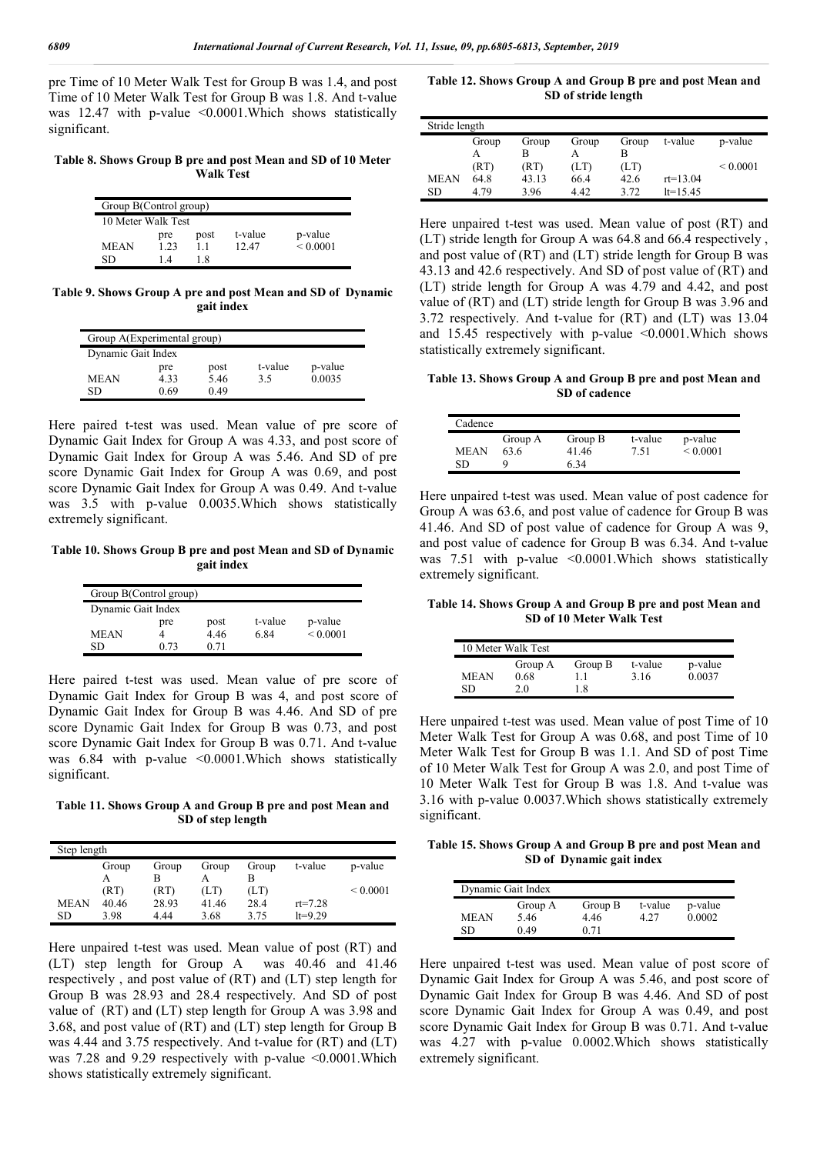pre Time of 10 Meter Walk Test for Group B was 1.4, and post Time of 10 Meter Walk Test for Group B was 1.8. And t-value was 12.47 with p-value <0.0001. Which shows statistically significant.

**Table 8. Shows Group B pre and post Mean and SD of 10 Meter Walk Test**

| Group B(Control group) |                    |      |         |              |  |  |  |  |  |
|------------------------|--------------------|------|---------|--------------|--|--|--|--|--|
|                        | 10 Meter Walk Test |      |         |              |  |  |  |  |  |
|                        | pre                | post | t-value | p-value      |  |  |  |  |  |
| MEAN                   | 123                | 11   | 12.47   | ${}_{0.001}$ |  |  |  |  |  |
| SD                     | 14                 | 18   |         |              |  |  |  |  |  |

**Table 9. Shows Group A pre and post Mean and SD of Dynamic gait index**

| Group A(Experimental group) |      |      |         |         |  |  |  |  |  |
|-----------------------------|------|------|---------|---------|--|--|--|--|--|
| Dynamic Gait Index          |      |      |         |         |  |  |  |  |  |
|                             | pre  | post | t-value | p-value |  |  |  |  |  |
| MEAN                        | 4.33 | 5.46 | 3.5     | 0.0035  |  |  |  |  |  |
| SD                          | 0 69 | 0.49 |         |         |  |  |  |  |  |

Here paired t-test was used. Mean value of pre score of Dynamic Gait Index for Group A was 4.33, and post score of Dynamic Gait Index for Group A was 5.46. And SD of pre score Dynamic Gait Index for Group A was 0.69, and post score Dynamic Gait Index for Group A was 0.49. And t-value was 3.5 with p-value 0.0035.Which shows statistically extremely significant.

**Table 10. Shows Group B pre and post Mean and SD of Dynamic gait index**

| Group B(Control group) |      |      |         |               |  |  |  |  |  |
|------------------------|------|------|---------|---------------|--|--|--|--|--|
| Dynamic Gait Index     |      |      |         |               |  |  |  |  |  |
|                        | pre  | post | t-value | p-value       |  |  |  |  |  |
| <b>MEAN</b>            |      | 4.46 | 6.84    | ${}_{0.0001}$ |  |  |  |  |  |
| SD                     | 0.73 | 0.71 |         |               |  |  |  |  |  |

Here paired t-test was used. Mean value of pre score of Dynamic Gait Index for Group B was 4, and post score of Dynamic Gait Index for Group B was 4.46. And SD of pre score Dynamic Gait Index for Group B was 0.73, and post score Dynamic Gait Index for Group B was 0.71. And t-value was 6.84 with p-value <0.0001.Which shows statistically significant.

**Table 11. Shows Group A and Group B pre and post Mean and SD of step length**

| Step length |       |       |       |       |             |               |
|-------------|-------|-------|-------|-------|-------------|---------------|
|             | Group | Group | Group | Group | t-value     | p-value       |
|             | А     |       |       |       |             |               |
|             | (RT)  | (RT)  | (LT)  | (LT)  |             | ${}_{0.0001}$ |
| <b>MEAN</b> | 40.46 | 28.93 | 41.46 | 28.4  | $rt = 7.28$ |               |
| SD          | 3.98  | 4.44  | 3.68  | 375   | $lt=9.29$   |               |

Here unpaired t-test was used. Mean value of post (RT) and (LT) step length for Group A was 40.46 and 41.46 respectively , and post value of (RT) and (LT) step length for Group B was 28.93 and 28.4 respectively. And SD of post value of (RT) and (LT) step length for Group A was 3.98 and 3.68, and post value of (RT) and (LT) step length for Group B was 4.44 and 3.75 respectively. And t-value for (RT) and (LT) was 7.28 and 9.29 respectively with p-value <0.0001. Which shows statistically extremely significant.

**Table 12. Shows Group A and Group B pre and post Mean and SD of stride length**

| Stride length |       |       |       |       |              |               |
|---------------|-------|-------|-------|-------|--------------|---------------|
|               | Group | Group | Group | Group | t-value      | p-value       |
|               | А     | B     |       | B     |              |               |
|               | (RT)  | (RT)  | (LT)  | (LT)  |              | ${}_{0.0001}$ |
| <b>MEAN</b>   | 64.8  | 43.13 | 66.4  | 42.6  | $rt = 13.04$ |               |
| SD            | 4.79  | 3.96  | 4.42  | 3.72  | $lt=15.45$   |               |

Here unpaired t-test was used. Mean value of post (RT) and (LT) stride length for Group A was 64.8 and 66.4 respectively , and post value of (RT) and (LT) stride length for Group B was 43.13 and 42.6 respectively. And SD of post value of (RT) and (LT) stride length for Group A was 4.79 and 4.42, and post value of (RT) and (LT) stride length for Group B was 3.96 and 3.72 respectively. And t-value for (RT) and (LT) was 13.04 and 15.45 respectively with p-value  $\leq 0.0001$ . Which shows statistically extremely significant.

**Table 13. Shows Group A and Group B pre and post Mean and SD of cadence**

| Cadence           |                      |                          |                 |                          |  |
|-------------------|----------------------|--------------------------|-----------------|--------------------------|--|
| <b>MEAN</b><br>SD | Group A<br>63.6<br>Q | Group B<br>41.46<br>6 34 | t-value<br>7.51 | p-value<br>${}_{0.0001}$ |  |

Here unpaired t-test was used. Mean value of post cadence for Group A was 63.6, and post value of cadence for Group B was 41.46. And SD of post value of cadence for Group A was 9, and post value of cadence for Group B was 6.34. And t-value was 7.51 with p-value <0.0001. Which shows statistically extremely significant.

**Table 14. Shows Group A and Group B pre and post Mean and SD of 10 Meter Walk Test**

| 10 Meter Walk Test |         |         |         |         |  |  |  |
|--------------------|---------|---------|---------|---------|--|--|--|
|                    | Group A | Group B | t-value | p-value |  |  |  |
| MEAN               | 0.68    | 11      | 3.16    | 0.0037  |  |  |  |
| SD                 | 20      | 18      |         |         |  |  |  |

Here unpaired t-test was used. Mean value of post Time of 10 Meter Walk Test for Group A was 0.68, and post Time of 10 Meter Walk Test for Group B was 1.1. And SD of post Time of 10 Meter Walk Test for Group A was 2.0, and post Time of 10 Meter Walk Test for Group B was 1.8. And t-value was 3.16 with p-value 0.0037.Which shows statistically extremely significant.

**Table 15. Shows Group A and Group B pre and post Mean and SD of Dynamic gait index**

| Dynamic Gait Index |                         |                         |                 |                   |  |  |  |
|--------------------|-------------------------|-------------------------|-----------------|-------------------|--|--|--|
| <b>MEAN</b><br>SD  | Group A<br>5.46<br>0.49 | Group B<br>4.46<br>0.71 | t-value<br>4 27 | p-value<br>0.0002 |  |  |  |

Here unpaired t-test was used. Mean value of post score of Dynamic Gait Index for Group A was 5.46, and post score of Dynamic Gait Index for Group B was 4.46. And SD of post score Dynamic Gait Index for Group A was 0.49, and post score Dynamic Gait Index for Group B was 0.71. And t-value was 4.27 with p-value 0.0002.Which shows statistically extremely significant.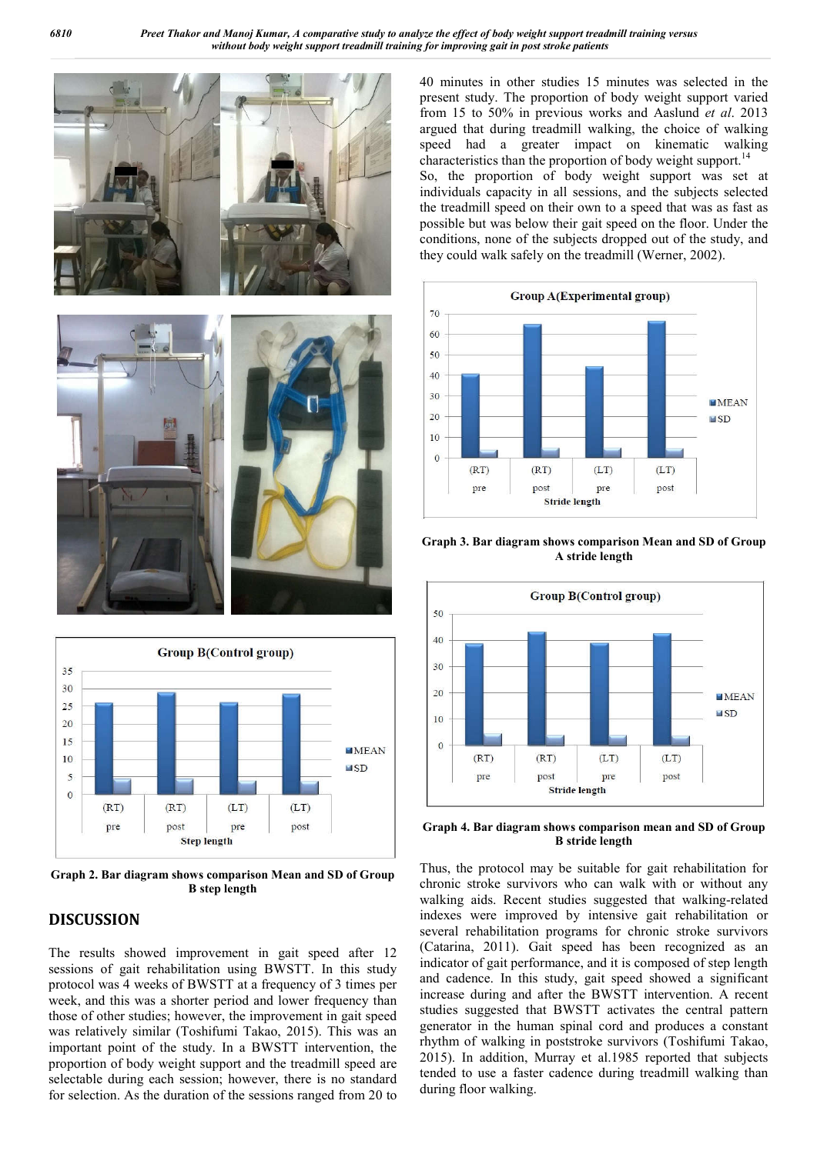



**Graph 2. Bar diagram shows comparison Mean and SD of Group B step length**

# **DISCUSSION**

The results showed improvement in gait speed after 12 sessions of gait rehabilitation using BWSTT. In this study protocol was 4 weeks of BWSTT at a frequency of 3 times per week, and this was a shorter period and lower frequency than those of other studies; however, the improvement in gait speed was relatively similar (Toshifumi Takao, 2015). This was an important point of the study. In a BWSTT intervention, the proportion of body weight support and the treadmill speed are selectable during each session; however, there is no standard for selection. As the duration of the sessions ranged from 20 to 40 minutes in other studies 15 minutes was selected in the present study. The proportion of body weight support varied from 15 to 50% in previous works and Aaslund *et al*. 2013 argued that during treadmill walking, the choice of walking speed had a greater impact on kinematic walking characteristics than the proportion of body weight support.<sup>14</sup> So, the proportion of body weight support was set at individuals capacity in all sessions, and the subjects selected the treadmill speed on their own to a speed that was as fast as possible but was below their gait speed on the floor. Under the conditions, none of the subjects dropped out of the study, and they could walk safely on the treadmill (Werner, 2002).



**Graph 3. Bar diagram shows comparison Mean and SD of Group A stride length**



**Graph 4. Bar diagram shows comparison mean and SD of Group B stride length**

Thus, the protocol may be suitable for gait rehabilitation for chronic stroke survivors who can walk with or without any walking aids. Recent studies suggested that walking-related indexes were improved by intensive gait rehabilitation or several rehabilitation programs for chronic stroke survivors (Catarina, 2011). Gait speed has been recognized as an indicator of gait performance, and it is composed of step length and cadence. In this study, gait speed showed a significant increase during and after the BWSTT intervention. A recent studies suggested that BWSTT activates the central pattern generator in the human spinal cord and produces a constant rhythm of walking in poststroke survivors (Toshifumi Takao, 2015). In addition, Murray et al.1985 reported that subjects tended to use a faster cadence during treadmill walking than during floor walking.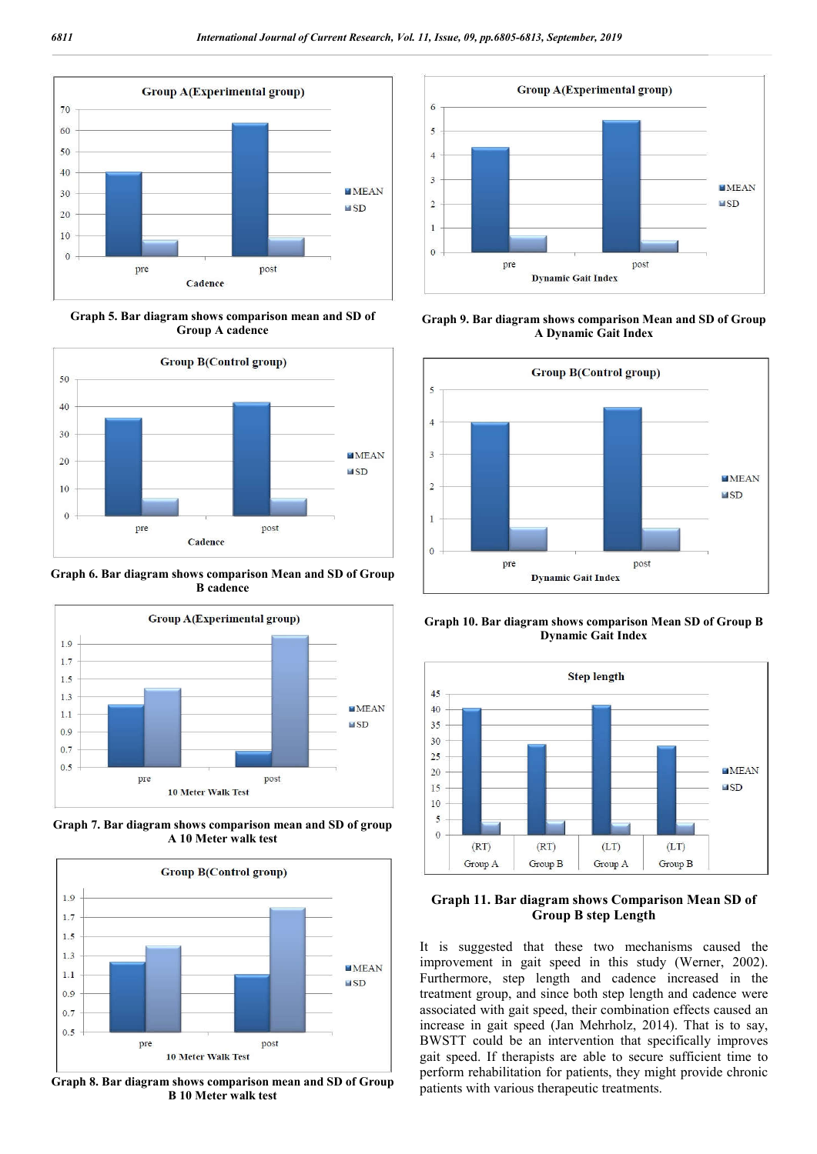

**Graph 5. Bar diagram shows comparison mean and SD of Group A cadence**



**Graph 6. Bar diagram shows comparison Mean and SD of Group B cadence**



**Graph 7. Bar diagram shows comparison mean and SD of group A 10 Meter walk test**



**Graph 8. Bar diagram shows comparison mean and SD of Group B 10 Meter walk test**



**Graph 9. Bar diagram shows comparison Mean and SD of Group A Dynamic Gait Index**



**Graph 10. Bar diagram shows comparison Mean SD of Group B Dynamic Gait Index**



**Graph 11. Bar diagram shows Comparison Mean SD of Group B step Length**

It is suggested that these two mechanisms caused the improvement in gait speed in this study (Werner, 2002). Furthermore, step length and cadence increased in the treatment group, and since both step length and cadence were associated with gait speed, their combination effects caused an increase in gait speed (Jan Mehrholz, 2014). That is to say, BWSTT could be an intervention that specifically improves gait speed. If therapists are able to secure sufficient time to perform rehabilitation for patients, they might provide chronic patients with various therapeutic treatments.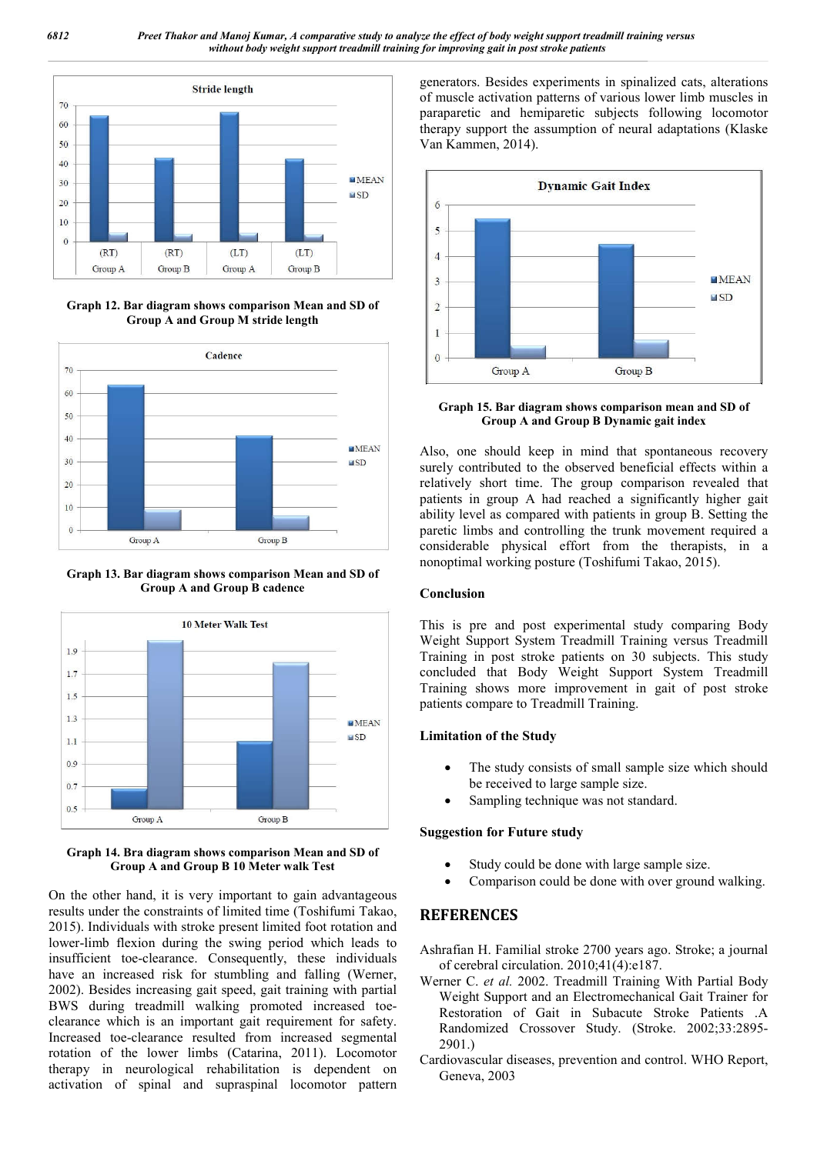

**Graph 12. Bar diagram shows comparison Mean and SD of Group A and Group M stride length**



**Graph 13. Bar diagram shows comparison Mean and SD of Group A and Group B cadence**



#### **Graph 14. Bra diagram shows comparison Mean and SD of Group A and Group B 10 Meter walk Test**

On the other hand, it is very important to gain advantageous results under the constraints of limited time (Toshifumi Takao, 2015). Individuals with stroke present limited foot rotation and lower-limb flexion during the swing period which leads to insufficient toe-clearance. Consequently, these individuals have an increased risk for stumbling and falling (Werner, 2002). Besides increasing gait speed, gait training with partial BWS during treadmill walking promoted increased toeclearance which is an important gait requirement for safety. Increased toe-clearance resulted from increased segmental rotation of the lower limbs (Catarina, 2011). Locomotor therapy in neurological rehabilitation is dependent on activation of spinal and supraspinal locomotor pattern

generators. Besides experiments in spinalized cats, alterations of muscle activation patterns of various lower limb muscles in paraparetic and hemiparetic subjects following locomotor therapy support the assumption of neural adaptations (Klaske Van Kammen, 2014).



**Graph 15. Bar diagram shows comparison mean and SD of Group A and Group B Dynamic gait index**

Also, one should keep in mind that spontaneous recovery surely contributed to the observed beneficial effects within a relatively short time. The group comparison revealed that patients in group A had reached a significantly higher gait ability level as compared with patients in group B. Setting the paretic limbs and controlling the trunk movement required a considerable physical effort from the therapists, in a nonoptimal working posture (Toshifumi Takao, 2015).

#### **Conclusion**

This is pre and post experimental study comparing Body Weight Support System Treadmill Training versus Treadmill Training in post stroke patients on 30 subjects. This study concluded that Body Weight Support System Treadmill Training shows more improvement in gait of post stroke patients compare to Treadmill Training.

#### **Limitation of the Study**

- The study consists of small sample size which should be received to large sample size.
- Sampling technique was not standard.

#### **Suggestion for Future study**

- Study could be done with large sample size.
- Comparison could be done with over ground walking.

# **REFERENCES**

Ashrafian H. Familial stroke 2700 years ago. Stroke; a journal of cerebral circulation. 2010;41(4):e187.

- Werner C. *et al.* 2002. Treadmill Training With Partial Body Weight Support and an Electromechanical Gait Trainer for Restoration of Gait in Subacute Stroke Patients .A Randomized Crossover Study. (Stroke. 2002;33:2895- 2901.)
- Cardiovascular diseases, prevention and control. WHO Report, Geneva, 2003